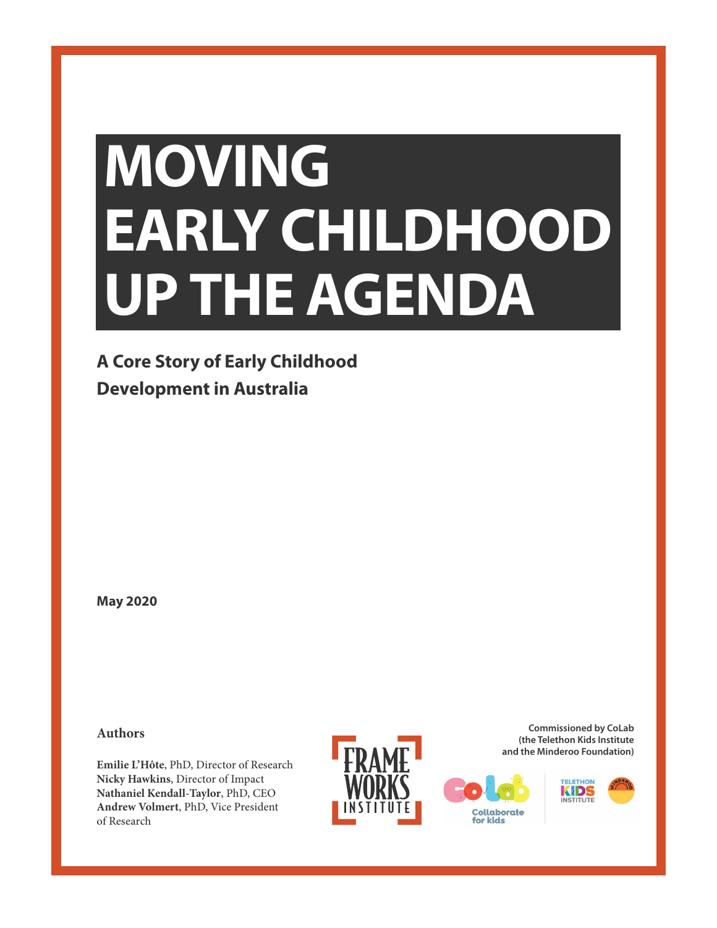# **MOVING EARLY CHILDHOOD UP THE AGENDA**

# **A Core Story of Early Childhood Development in Australia**

**May 2020**

**Authors**

**Emilie L'Hôte**, PhD, Director of Research **Nicky Hawkins**, Director of Impact **Nathaniel Kendall-Taylor**, PhD, CEO **Andrew Volmert**, PhD, Vice President of Research







Collaborate for kids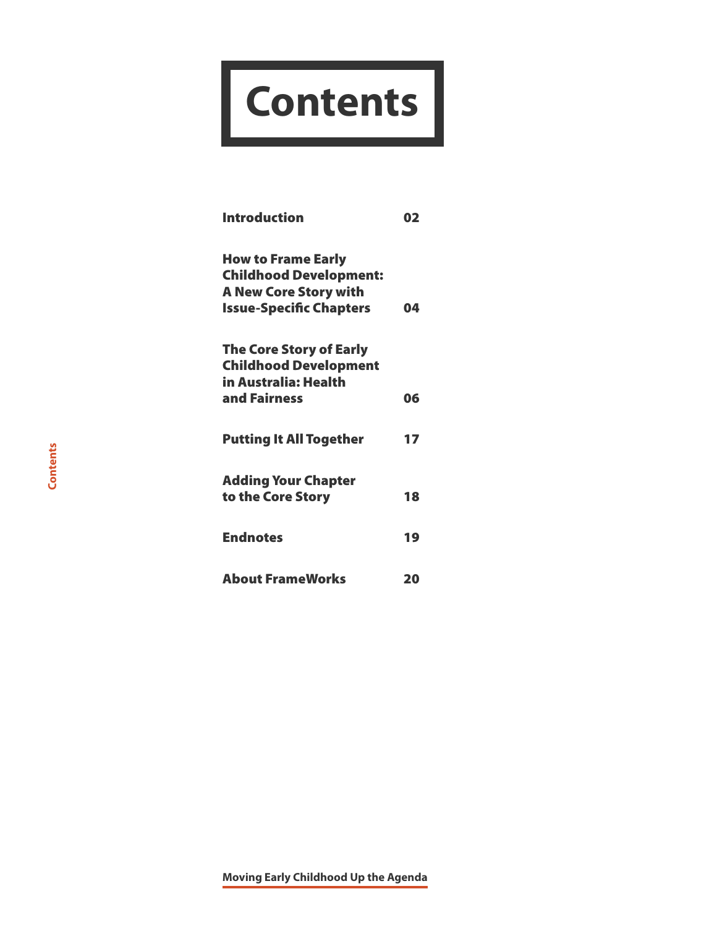# **Contents**

| <b>Introduction</b>                                                                                                          | 02 |
|------------------------------------------------------------------------------------------------------------------------------|----|
| <b>How to Frame Early</b><br><b>Childhood Development:</b><br><b>A New Core Story with</b><br><b>Issue-Specific Chapters</b> | 04 |
| <b>The Core Story of Early</b><br><b>Childhood Development</b><br>in Australia: Health<br>and Fairness                       | 06 |
| <b>Putting It All Together</b>                                                                                               | 17 |
| <b>Adding Your Chapter</b><br>to the Core Story                                                                              | 18 |
| <b>Endnotes</b>                                                                                                              | 19 |
| <b>About FrameWorks</b>                                                                                                      | 20 |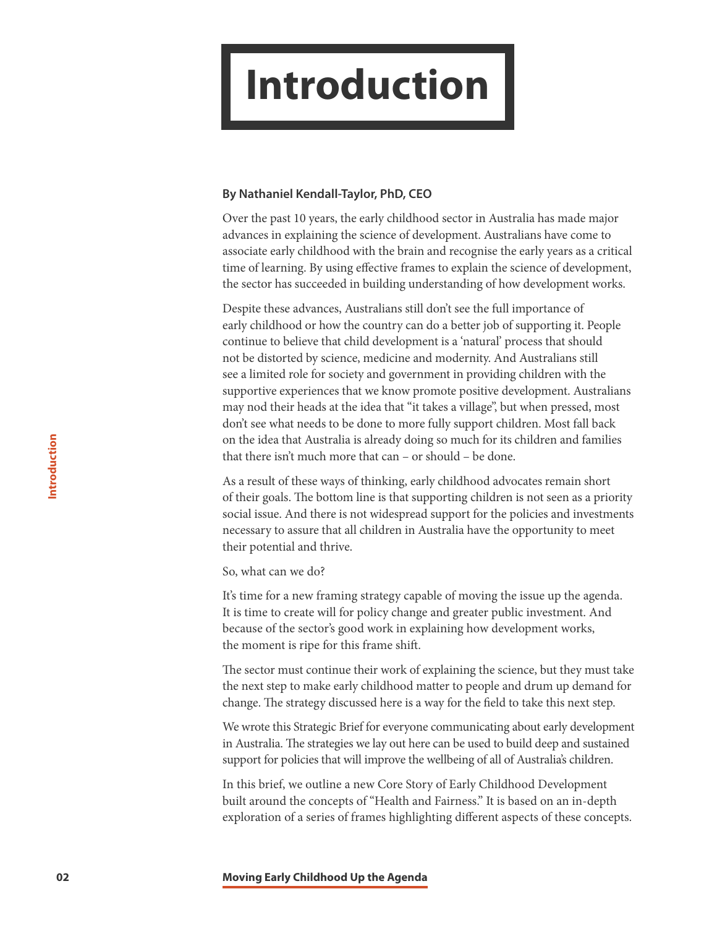# <span id="page-2-0"></span>**Introduction**

# **By Nathaniel Kendall-Taylor, PhD, CEO**

Over the past 10 years, the early childhood sector in Australia has made major advances in explaining the science of development. Australians have come to associate early childhood with the brain and recognise the early years as a critical time of learning. By using effective frames to explain the science of development, the sector has succeeded in building understanding of how development works.

Despite these advances, Australians still don't see the full importance of early childhood or how the country can do a better job of supporting it. People continue to believe that child development is a 'natural' process that should not be distorted by science, medicine and modernity. And Australians still see a limited role for society and government in providing children with the supportive experiences that we know promote positive development. Australians may nod their heads at the idea that "it takes a village", but when pressed, most don't see what needs to be done to more fully support children. Most fall back on the idea that Australia is already doing so much for its children and families that there isn't much more that can – or should – be done.

As a result of these ways of thinking, early childhood advocates remain short of their goals. The bottom line is that supporting children is not seen as a priority social issue. And there is not widespread support for the policies and investments necessary to assure that all children in Australia have the opportunity to meet their potential and thrive.

So, what can we do?

It's time for a new framing strategy capable of moving the issue up the agenda. It is time to create will for policy change and greater public investment. And because of the sector's good work in explaining how development works, the moment is ripe for this frame shift.

The sector must continue their work of explaining the science, but they must take the next step to make early childhood matter to people and drum up demand for change. The strategy discussed here is a way for the field to take this next step.

We wrote this Strategic Brief for everyone communicating about early development in Australia. The strategies we lay out here can be used to build deep and sustained support for policies that will improve the wellbeing of all of Australia's children.

In this brief, we outline a new Core Story of Early Childhood Development built around the concepts of "Health and Fairness." It is based on an in-depth exploration of a series of frames highlighting different aspects of these concepts.

**02 Moving Early Childhood Up the Agenda**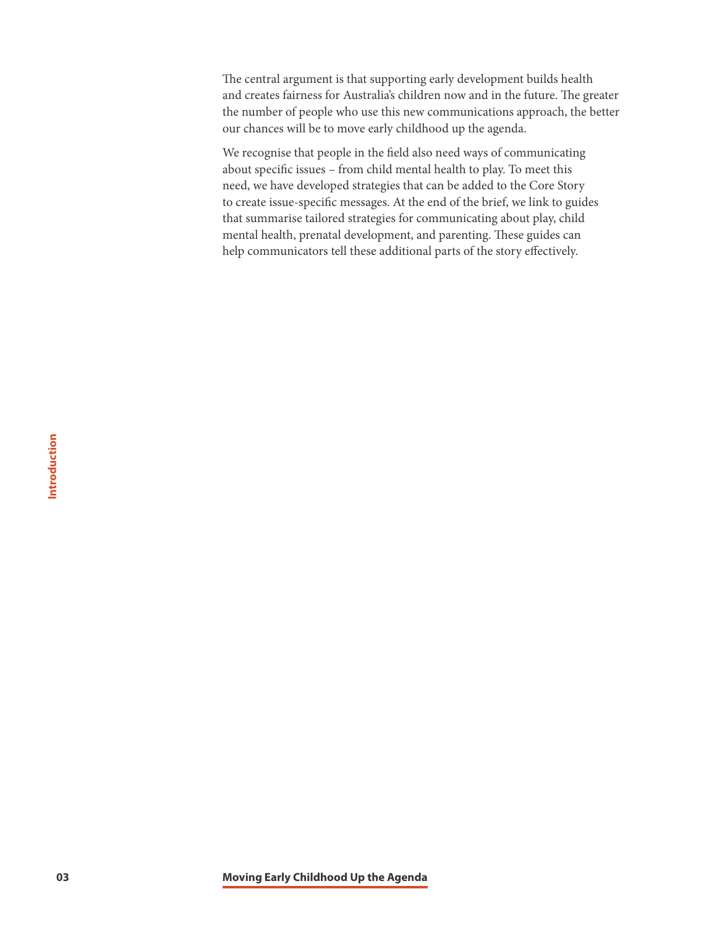The central argument is that supporting early development builds health and creates fairness for Australia's children now and in the future. The greater the number of people who use this new communications approach, the better our chances will be to move early childhood up the agenda.

We recognise that people in the field also need ways of communicating about specific issues – from child mental health to play. To meet this need, we have developed strategies that can be added to the Core Story to create issue-specific messages. At the end of the brief, we link to guides that summarise tailored strategies for communicating about play, child mental health, prenatal development, and parenting. These guides can help communicators tell these additional parts of the story effectively.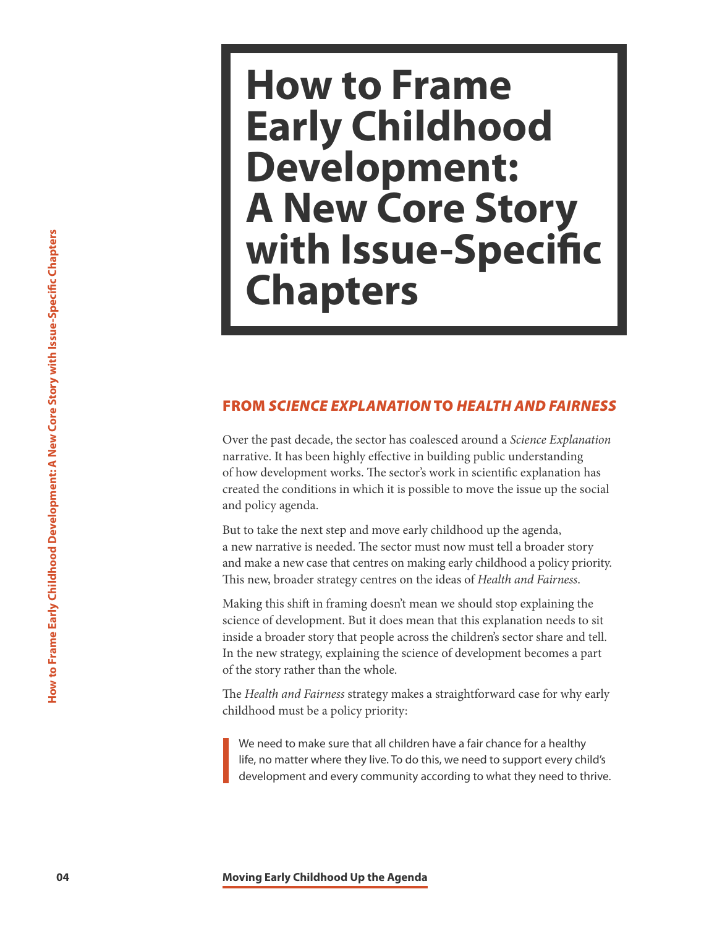# **How to Frame Early Childhood Development: A New Core Story with Issue-Specific Chapters**

# FROM *SCIENCE EXPLANATION* TO *HEALTH AND FAIRNESS*

<span id="page-4-0"></span>**144 Chapter**<br> **Chapters**<br> **Chapters**<br> **Chapters**<br> **Chapters**<br> **Chapters**<br> **Chapters**<br> **Chapters**<br> **Chapters**<br> **Chapters**<br> **Chapters**<br> **Chapters**<br> **Chapters**<br> **Chapters**<br> **Chapters**<br> **Chapters**<br> **Chapters**<br> **Chapters**<br> Over the past decade, the sector has coalesced around a *Science Explanation*  narrative. It has been highly effective in building public understanding of how development works. The sector's work in scientific explanation has created the conditions in which it is possible to move the issue up the social and policy agenda.

But to take the next step and move early childhood up the agenda, a new narrative is needed. The sector must now must tell a broader story and make a new case that centres on making early childhood a policy priority. This new, broader strategy centres on the ideas of *Health and Fairness* .

Making this shift in framing doesn't mean we should stop explaining the science of development. But it does mean that this explanation needs to sit inside a broader story that people across the children's sector share and tell. In the new strategy, explaining the science of development becomes a part of the story rather than the whole.

The *Health and Fairness* strategy makes a straightforward case for why early childhood must be a policy priority:

We need to make sure that all children have a fair chance for a healthy life, no matter where they live. To do this, we need to support every child's development and every community according to what they need to thrive.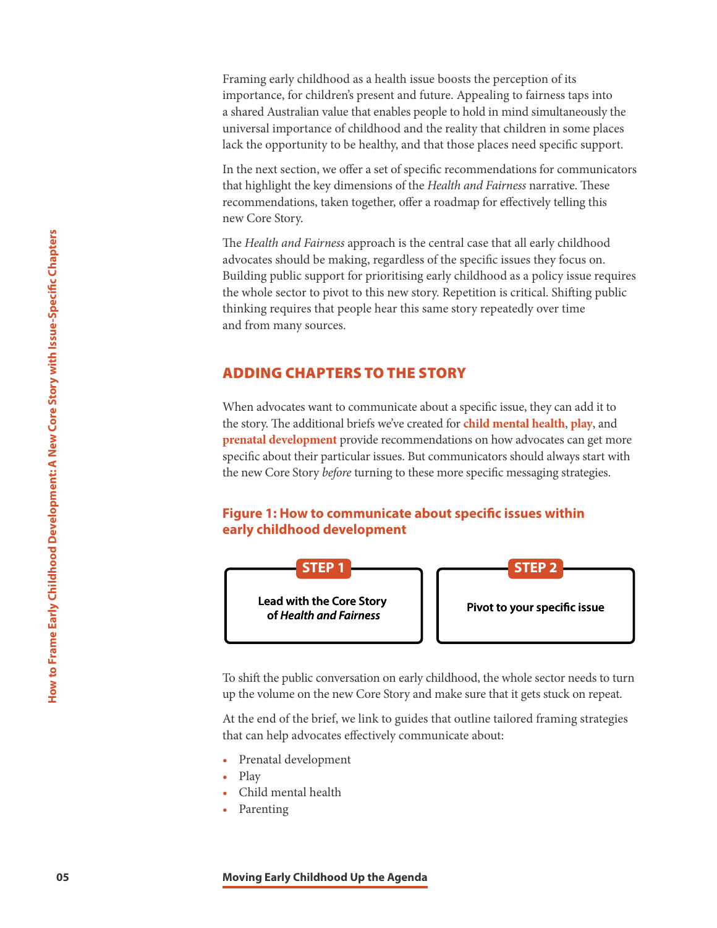Framing early childhood as a health issue boosts the perception of its importance, for children's present and future. Appealing to fairness taps into a shared Australian value that enables people to hold in mind simultaneously the universal importance of childhood and the reality that children in some places lack the opportunity to be healthy, and that those places need specific support.

In the next section, we offer a set of specific recommendations for communicators that highlight the key dimensions of the *Health and Fairness* narrative. These recommendations, taken together, offer a roadmap for effectively telling this new Core Story.

The *Health and Fairness* approach is the central case that all early childhood advocates should be making, regardless of the specific issues they focus on. Building public support for prioritising early childhood as a policy issue requires the whole sector to pivot to this new story. Repetition is critical. Shifting public thinking requires that people hear this same story repeatedly over time and from many sources.

# ADDING CHAPTERS TO THE STORY

When advocates want to communicate about a specific issue, they can add it to the story. The additional briefs we've created for **[child mental health](http://frameworksinstitute.org/assets/files/Australia/colab_cmhbrief_2020.pdf)**, **[play](http://frameworksinstitute.org/assets/files/Australia/colab_playbrief_2020.pdf)**, and **[prenatal development](http://frameworksinstitute.org/assets/files/Australia/colab_prenatalbrief_2020.pdf)** provide recommendations on how advocates can get more specific about their particular issues. But communicators should always start with the new Core Story *before* turning to these more specific messaging strategies.

# **Figure 1: How to communicate about specific issues within early childhood development**



To shift the public conversation on early childhood, the whole sector needs to turn up the volume on the new Core Story and make sure that it gets stuck on repeat.

At the end of the brief, we link to guides that outline tailored framing strategies that can help advocates effectively communicate about:

- Prenatal development
- Play
- Child mental health
- Parenting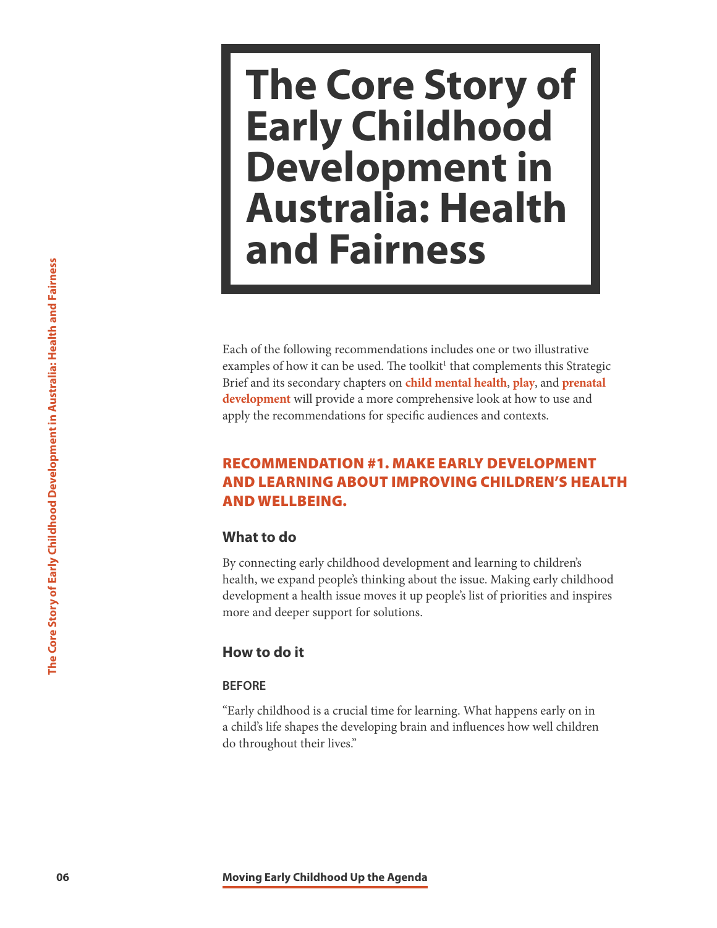# <span id="page-6-0"></span>**The Core Story of Early Childhood Development in Australia: Health and Fairness**

**Examples of the following recommendations**<br>
Early Child Bis secondary chapters on child<br>
Development will provide a more company<br>
apply the recommendations for specific<br> **RECOMMENDATION #1. MAK<br>
AND LEARNING ABOUT IMPR**<br> Each of the following recommendations includes one or two illustrative examples of how it can be used. The toolkit<sup>1</sup> that complements this Strategic Brief and its secondary chapters on **[child mental health](http://frameworksinstitute.org/assets/files/Australia/colab_cmhbrief_2020.pdf)**, **[play](http://frameworksinstitute.org/assets/files/Australia/colab_playbrief_2020.pdf)**, and **[prenatal](http://frameworksinstitute.org/assets/files/Australia/colab_prenatalbrief_2020.pdf)  [development](http://frameworksinstitute.org/assets/files/Australia/colab_prenatalbrief_2020.pdf)** will provide a more comprehensive look at how to use and apply the recommendations for specific audiences and contexts.

# RECOMMENDATION #1. MAKE EARLY DEVELOPMENT AND LEARNING ABOUT IMPROVING CHILDREN'S HEALTH AND WELLBEING.

# **What to do**

By connecting early childhood development and learning to children's health, we expand people's thinking about the issue. Making early childhood development a health issue moves it up people's list of priorities and inspires more and deeper support for solutions.

# **How to do it**

# **BEFORE**

"Early childhood is a crucial time for learning. What happens early on in a child's life shapes the developing brain and influences how well children do throughout their lives."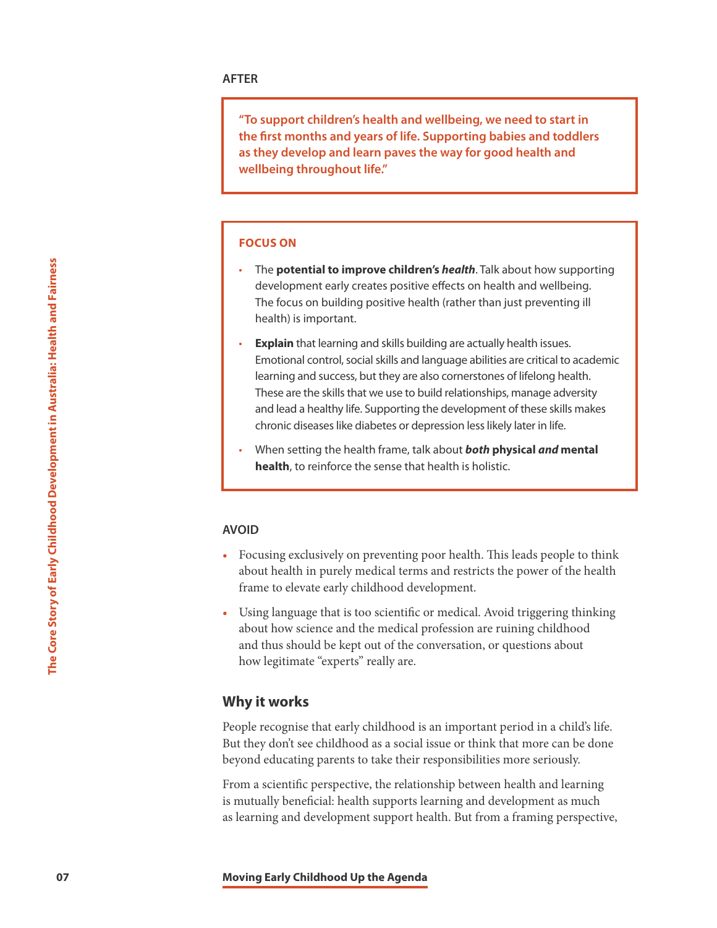**"To support children's health and wellbeing, we need to start in the first months and years of life. Supporting babies and toddlers as they develop and learn paves the way for good health and wellbeing throughout life."**

## **FOCUS ON**

- The **potential to improve children's** *health*. Talk about how supporting development early creates positive effects on health and wellbeing. The focus on building positive health (rather than just preventing ill health) is important.
- The **potential to improve childre**<br>
development early creates positive health<br>
The focus on building positive health<br> **17** The focus on building and skills build<br>
Emotional cortex health and Fairning and success, but t **Explain** that learning and skills building are actually health issues. Emotional control, social skills and language abilities are critical to academic learning and success, but they are also cornerstones of lifelong health. These are the skills that we use to build relationships, manage adversity and lead a healthy life. Supporting the development of these skills makes chronic diseases like diabetes or depression less likely later in life.
	- When setting the health frame, talk about *both* **physical** *and* **mental health**, to reinforce the sense that health is holistic.

#### **AVOID**

- Focusing exclusively on preventing poor health. This leads people to think about health in purely medical terms and restricts the power of the health frame to elevate early childhood development.
- Using language that is too scientific or medical. Avoid triggering thinking about how science and the medical profession are ruining childhood and thus should be kept out of the conversation, or questions about how legitimate "experts" really are.

# **Why it works**

People recognise that early childhood is an important period in a child's life. But they don't see childhood as a social issue or think that more can be done beyond educating parents to take their responsibilities more seriously.

From a scientific perspective, the relationship between health and learning is mutually beneficial: health supports learning and development as much as learning and development support health. But from a framing perspective,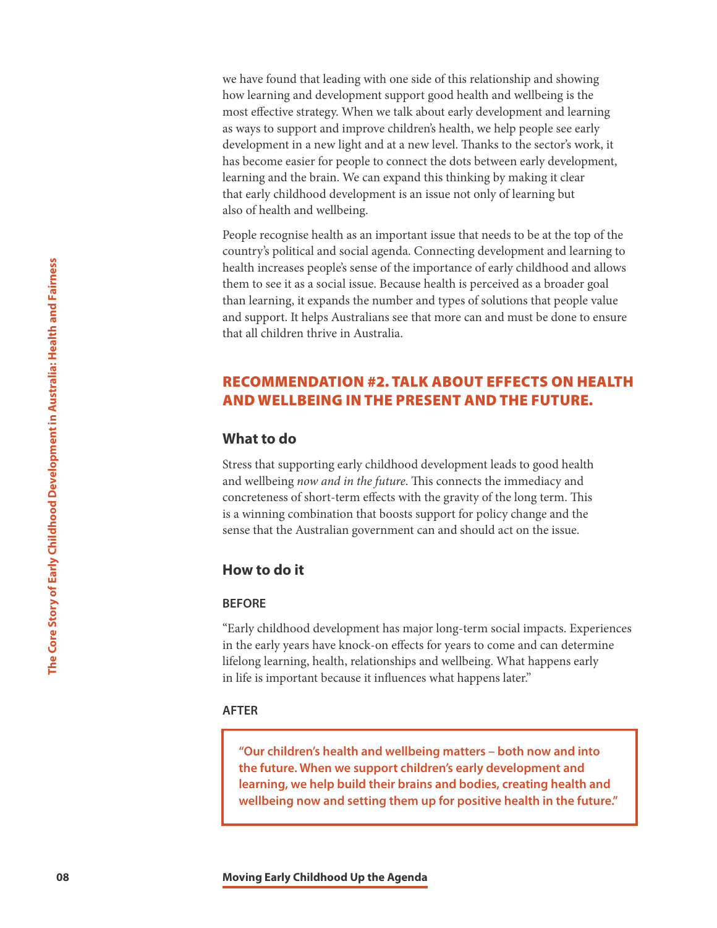we have found that leading with one side of this relationship and showing how learning and development support good health and wellbeing is the most effective strategy. When we talk about early development and learning as ways to support and improve children's health, we help people see early development in a new light and at a new level. Thanks to the sector's work, it has become easier for people to connect the dots between early development, learning and the brain. We can expand this thinking by making it clear that early childhood development is an issue not only of learning but also of health and wellbeing.

**Core of Early Childhood development has noted that an and support.** It helps Australians see the that all children thrive in Australia.<br> **CECOMMENDATION #2. TALK**<br> **AND WELLBEING IN THE PRES**<br> **CECOMMENDATION #2. TALK**<br> People recognise health as an important issue that needs to be at the top of the country's political and social agenda. Connecting development and learning to health increases people's sense of the importance of early childhood and allows them to see it as a social issue. Because health is perceived as a broader goal than learning, it expands the number and types of solutions that people value and support. It helps Australians see that more can and must be done to ensure that all children thrive in Australia.

# RECOMMENDATION #2. TALK ABOUT EFFECTS ON HEALTH AND WELLBEING IN THE PRESENT AND THE FUTURE.

# **What to do**

Stress that supporting early childhood development leads to good health and wellbeing *now and in the future*. This connects the immediacy and concreteness of short-term effects with the gravity of the long term. This is a winning combination that boosts support for policy change and the sense that the Australian government can and should act on the issue.

# **How to do it**

#### **BEFORE**

"Early childhood development has major long-term social impacts. Experiences in the early years have knock-on effects for years to come and can determine lifelong learning, health, relationships and wellbeing. What happens early in life is important because it influences what happens later."

### **AFTER**

**"Our children's health and wellbeing matters – both now and into the future. When we support children's early development and learning, we help build their brains and bodies, creating health and wellbeing now and setting them up for positive health in the future."**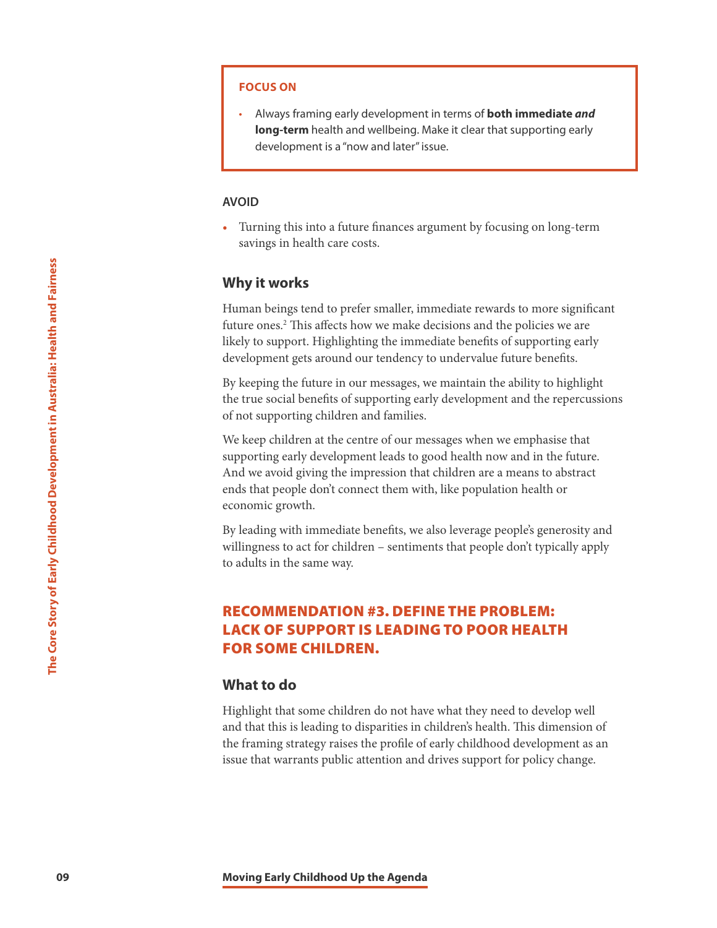### **FOCUS ON**

• Always framing early development in terms of **both immediate** *and*  **long-term** health and wellbeing. Make it clear that supporting early development is a "now and later" issue.

### **AVOID**

• Turning this into a future finances argument by focusing on long-term savings in health care costs.

# **Why it works**

Human beings tend to prefer smaller, immediate rewards to more significant future ones.<sup>2</sup> This affects how we make decisions and the policies we are likely to support. Highlighting the immediate benefits of supporting early development gets around our tendency to undervalue future benefits.

By keeping the future in our messages, we maintain the ability to highlight the true social benefits of supporting early development and the repercussions of not supporting children and families.

**Mhy it works**<br>
Human beings tend to prefer smaller, in<br>
fruture ones.<sup>2</sup> This affects how we make clickly to support in Eightlighting the immonest<br>
development gets around our tendency<br>
By keeping the future in our messag We keep children at the centre of our messages when we emphasise that supporting early development leads to good health now and in the future. And we avoid giving the impression that children are a means to abstract ends that people don't connect them with, like population health or economic growth.

By leading with immediate benefits, we also leverage people's generosity and willingness to act for children – sentiments that people don't typically apply to adults in the same way.

# RECOMMENDATION #3. DEFINE THE PROBLEM: LACK OF SUPPORT IS LEADING TO POOR HEALTH FOR SOME CHILDREN.

# **What to do**

Highlight that some children do not have what they need to develop well and that this is leading to disparities in children's health. This dimension of the framing strategy raises the profile of early childhood development as an issue that warrants public attention and drives support for policy change.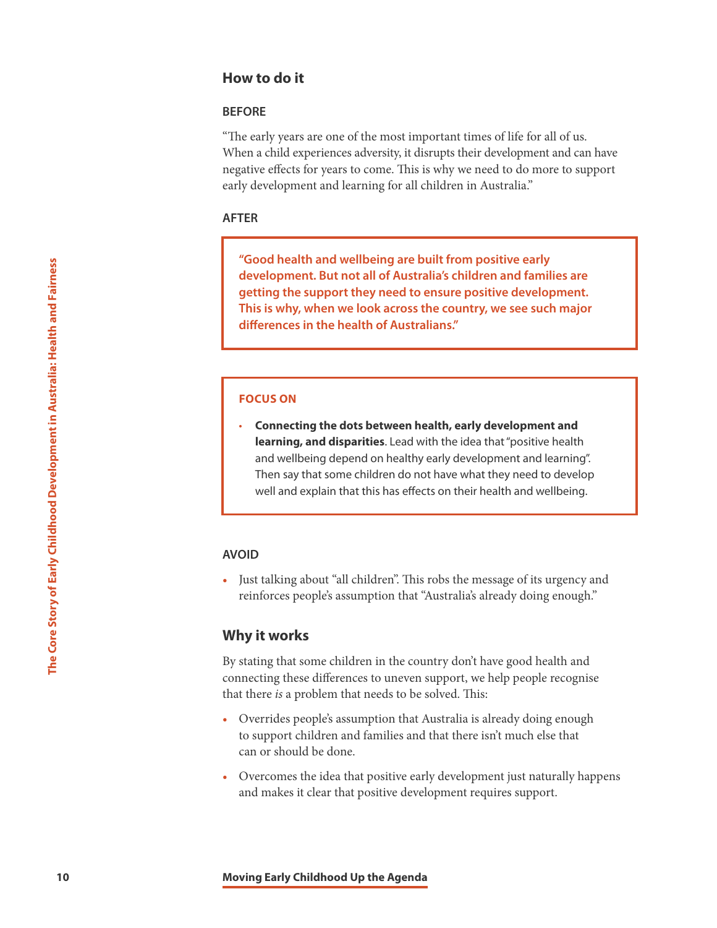# **How to do it**

### **BEFORE**

"The early years are one of the most important times of life for all of us. When a child experiences adversity, it disrupts their development and can have negative effects for years to come. This is why we need to do more to support early development and learning for all children in Australia."

#### **AFTER**

**"Good health and wellbeing are built from positive early development. But not all of Australia's children and families are getting the support they need to ensure positive development. This is why, when we look across the country, we see such major differences in the health of Australians."**

### **FOCUS ON**

**100 10 10 Moving Early Childhood Up the Agenda Moving Early Childhood Up the Agenda** The Core Story of Core Story of Early Childhood Up the Agenda Core Story of Core Story of Early Childhood Up the Agenda Core Sto • **Connecting the dots between health, early development and learning, and disparities**. Lead with the idea that "positive health and wellbeing depend on healthy early development and learning". Then say that some children do not have what they need to develop well and explain that this has effects on their health and wellbeing.

#### **AVOID**

• Just talking about "all children". This robs the message of its urgency and reinforces people's assumption that "Australia's already doing enough."

# **Why it works**

By stating that some children in the country don't have good health and connecting these differences to uneven support, we help people recognise that there *is* a problem that needs to be solved. This:

- Overrides people's assumption that Australia is already doing enough to support children and families and that there isn't much else that can or should be done.
- Overcomes the idea that positive early development just naturally happens and makes it clear that positive development requires support.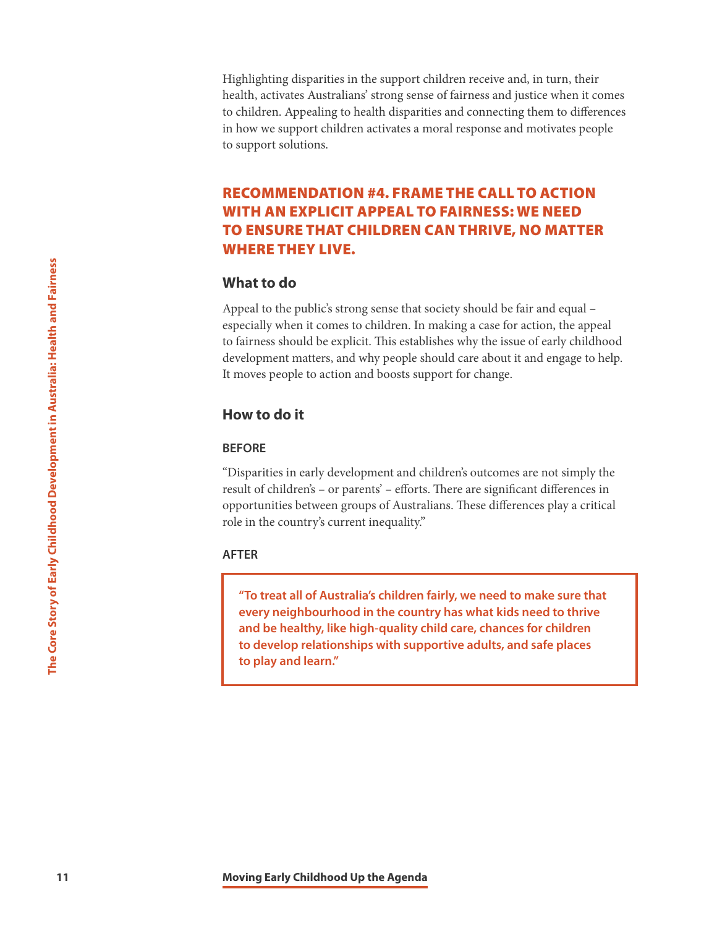Highlighting disparities in the support children receive and, in turn, their health, activates Australians' strong sense of fairness and justice when it comes to children. Appealing to health disparities and connecting them to differences in how we support children activates a moral response and motivates people to support solutions.

# RECOMMENDATION #4. FRAME THE CALL TO ACTION WITH AN EXPLICIT APPEAL TO FAIRNESS: WE NEED TO ENSURE THAT CHILDREN CAN THRIVE, NO MATTER WHERE THEY LIVE.

# **What to do**

**11 Moving Early Childhood Up the Agenda Moving Early Childhood Up the Agenda The Core Story of Early development matters, and why people state of the Core Story of the Movies of the Core Story of The Core Story of A** Appeal to the public's strong sense that society should be fair and equal – especially when it comes to children. In making a case for action, the appeal to fairness should be explicit. This establishes why the issue of early childhood development matters, and why people should care about it and engage to help. It moves people to action and boosts support for change.

# **How to do it**

## **BEFORE**

"Disparities in early development and children's outcomes are not simply the result of children's – or parents' – efforts. There are significant differences in opportunities between groups of Australians. These differences play a critical role in the country's current inequality."

# **AFTER**

**"To treat all of Australia's children fairly, we need to make sure that every neighbourhood in the country has what kids need to thrive and be healthy, like high-quality child care, chances for children to develop relationships with supportive adults, and safe places to play and learn."**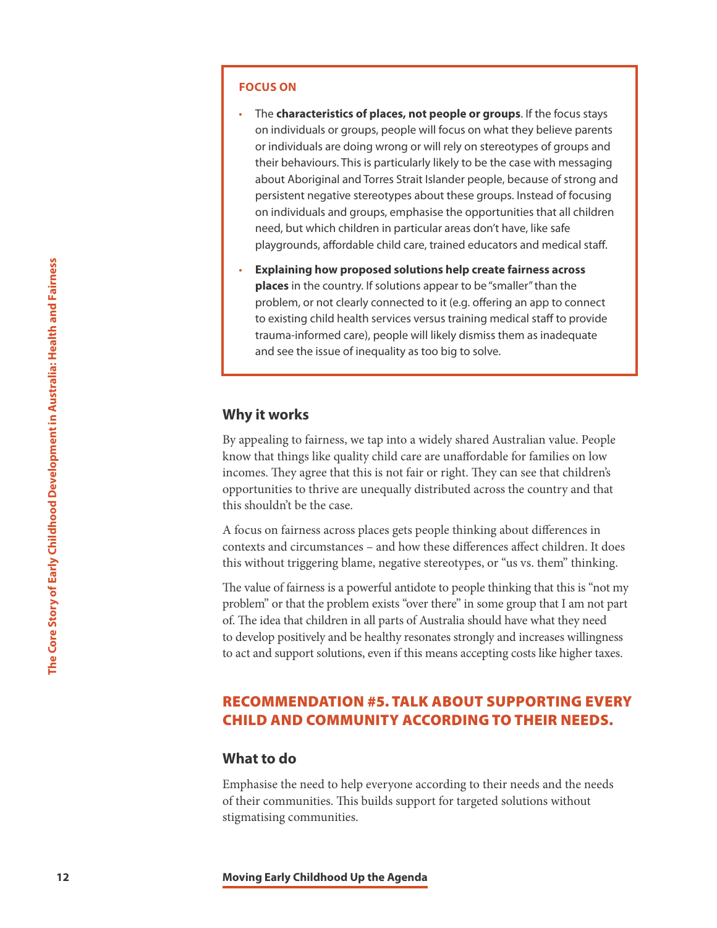#### **FOCUS ON**

- The **characteristics of places, not people or groups**. If the focus stays on individuals or groups, people will focus on what they believe parents or individuals are doing wrong or will rely on stereotypes of groups and their behaviours. This is particularly likely to be the case with messaging about Aboriginal and Torres Strait Islander people, because of strong and persistent negative stereotypes about these groups. Instead of focusing on individuals and groups, emphasise the opportunities that all children need, but which children in particular areas don't have, like safe playgrounds, affordable child care, trained educators and medical staff.
- 12 **Explaining how proposed solutic**<br>
problem, or not clearly connected<br>
to existing child health services ver<br>
transmitionment care), expediting the care are the issue of inequality as to<br> **Mhy it works**<br>
By appealing to • **Explaining how proposed solutions help create fairness across places** in the country. If solutions appear to be "smaller" than the problem, or not clearly connected to it (e.g. offering an app to connect to existing child health services versus training medical staff to provide trauma-informed care), people will likely dismiss them as inadequate and see the issue of inequality as too big to solve.

# **Why it works**

By appealing to fairness, we tap into a widely shared Australian value. People know that things like quality child care are unaffordable for families on low incomes. They agree that this is not fair or right. They can see that children's opportunities to thrive are unequally distributed across the country and that this shouldn't be the case.

A focus on fairness across places gets people thinking about differences in contexts and circumstances – and how these differences affect children. It does this without triggering blame, negative stereotypes, or "us vs. them" thinking.

The value of fairness is a powerful antidote to people thinking that this is "not my problem" or that the problem exists "over there" in some group that I am not part of. The idea that children in all parts of Australia should have what they need to develop positively and be healthy resonates strongly and increases willingness to act and support solutions, even if this means accepting costs like higher taxes.

# RECOMMENDATION #5. TALK ABOUT SUPPORTING EVERY CHILD AND COMMUNITY ACCORDING TO THEIR NEEDS.

#### **What to do**

Emphasise the need to help everyone according to their needs and the needs of their communities. This builds support for targeted solutions without stigmatising communities.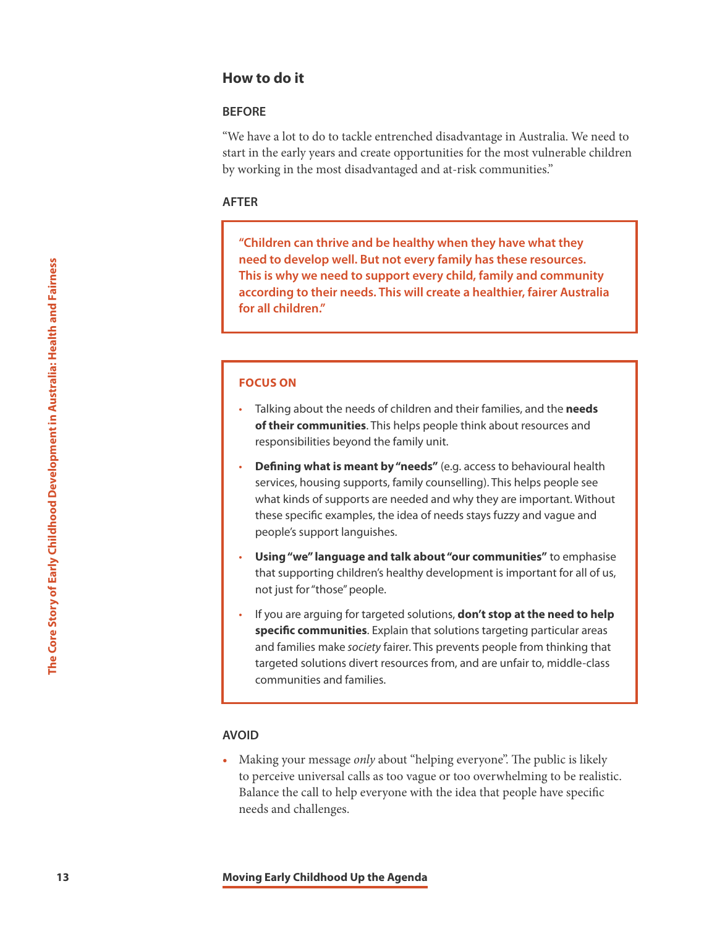# **How to do it**

## **BEFORE**

"We have a lot to do to tackle entrenched disadvantage in Australia. We need to start in the early years and create opportunities for the most vulnerable children by working in the most disadvantaged and at-risk communities."

### **AFTER**

**"Children can thrive and be healthy when they have what they need to develop well. But not every family has these resources. This is why we need to support every child, family and community according to their needs. This will create a healthier, fairer Australia for all children."**

# **FOCUS ON**

- Talking about the needs of children and their families, and the **needs of their communities**. This helps people think about resources and responsibilities beyond the family unit.
- **Defining what is meant by "needs"** (e.g. access to behavioural health services, housing supports, family counselling). This helps people see what kinds of supports are needed and why they are important. Without these specific examples, the idea of needs stays fuzzy and vague and people's support languishes.
- **Using "we" language and talk about "our communities"** to emphasise that supporting children's healthy development is important for all of us, not just for "those" people.
- **133 Moving Early Childhood Up the Agenda Moving Early Childhood Up the Agenda Children** in Australia: Health and Children.<sup>*T*</sup> **Core Stories The Core Story of Talking about the needs of children** of their communiti • If you are arguing for targeted solutions, **don't stop at the need to help specific communities**. Explain that solutions targeting particular areas and families make *society* fairer. This prevents people from thinking that targeted solutions divert resources from, and are unfair to, middle-class communities and families.

# **AVOID**

• Making your message *only* about "helping everyone". The public is likely to perceive universal calls as too vague or too overwhelming to be realistic. Balance the call to help everyone with the idea that people have specific needs and challenges.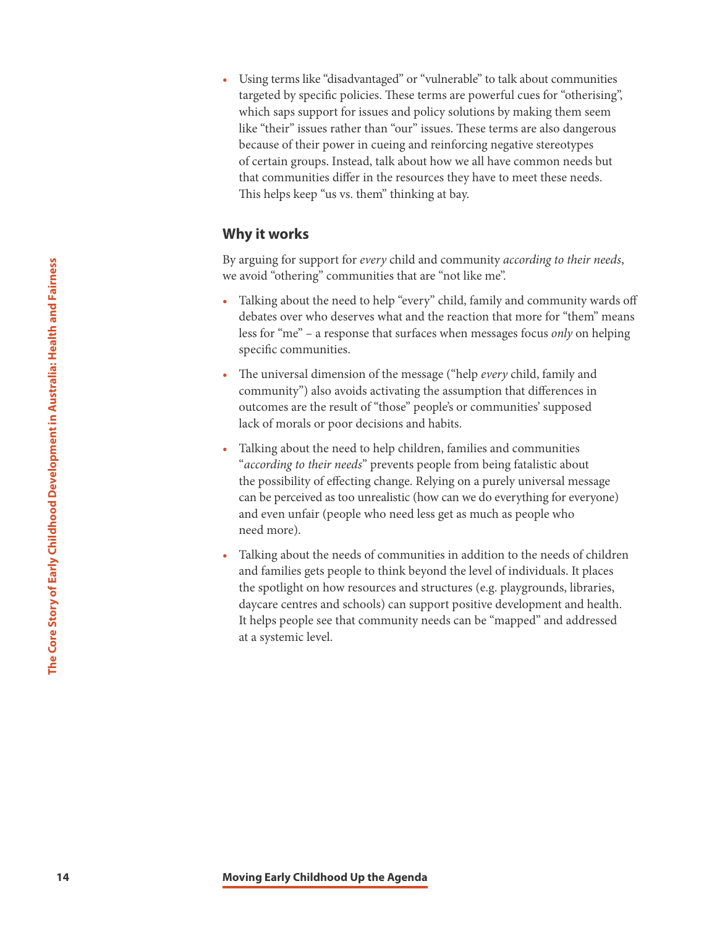• Using terms like "disadvantaged" or "vulnerable" to talk about communities targeted by specific policies. These terms are powerful cues for "otherising", which saps support for issues and policy solutions by making them seem like "their" issues rather than "our" issues. These terms are also dangerous because of their power in cueing and reinforcing negative stereotypes of certain groups. Instead, talk about how we all have common needs but that communities differ in the resources they have to meet these needs. This helps keep "us vs. them" thinking at bay.

# **Why it works**

By arguing for support for *every* child and community *according to their needs*, we avoid "othering" communities that are "not like me".

- Talking about the need to help "every" child, family and community wards off debates over who deserves what and the reaction that more for "them" means less for "me" – a response that surfaces when messages focus *only* on helping specific communities.
- The universal dimension of the message ("help *every* child, family and community") also avoids activating the assumption that differences in outcomes are the result of "those" people's or communities' supposed lack of morals or poor decisions and habits.
- Talking about the need to help children, families and communities "*according to their needs*" prevents people from being fatalistic about the possibility of effecting change. Relying on a purely universal message can be perceived as too unrealistic (how can we do everything for everyone) and even unfair (people who need less get as much as people who need more).
- **14 Example 14 Moving Early Childhood Up the Agenda 14 Moving Early Childhood Up the Agenda The Core Story of Core Story of Core Story of Core Story of Core Story of Core Story of Core Story of Core Story of Core** • Talking about the needs of communities in addition to the needs of children and families gets people to think beyond the level of individuals. It places the spotlight on how resources and structures (e.g. playgrounds, libraries, daycare centres and schools) can support positive development and health. It helps people see that community needs can be "mapped" and addressed at a systemic level.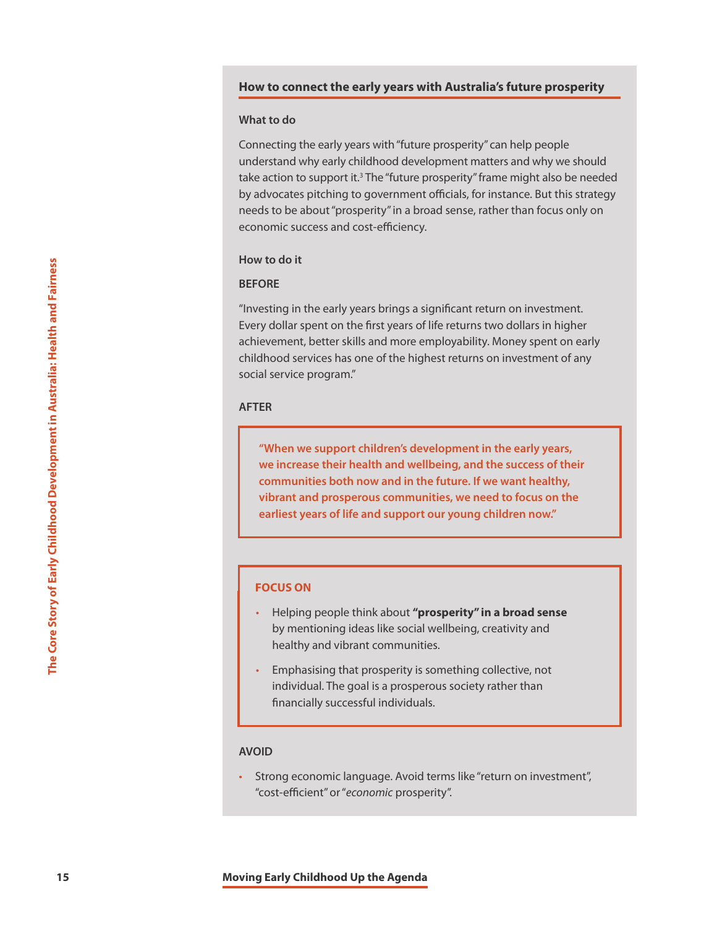#### **How to connect the early years with Australia's future prosperity**

#### **What to do**

Connecting the early years with "future prosperity" can help people understand why early childhood development matters and why we should take action to support it.<sup>3</sup> The "future prosperity" frame might also be needed by advocates pitching to government officials, for instance. But this strategy needs to be about "prosperity" in a broad sense, rather than focus only on economic success and cost-efficiency.

# **How to do it**

# **BEFORE**

**15 15 Moving Early Childhood Up the Agenda The Core Story of Core Story dollar spent on the first years of the higherent, better stills and more experiment better stills and more experiment in Social service progra** "Investing in the early years brings a significant return on investment. Every dollar spent on the first years of life returns two dollars in higher achievement, better skills and more employability. Money spent on early childhood services has one of the highest returns on investment of any social service program."

## **AFTER**

**"When we support children's development in the early years, we increase their health and wellbeing, and the success of their communities both now and in the future. If we want healthy, vibrant and prosperous communities, we need to focus on the earliest years of life and support our young children now."**

## **FOCUS ON**

- Helping people think about **"prosperity" in a broad sense** by mentioning ideas like social wellbeing, creativity and healthy and vibrant communities.
- Emphasising that prosperity is something collective, not individual. The goal is a prosperous society rather than financially successful individuals.

#### **AVOID**

• Strong economic language. Avoid terms like "return on investment", "cost-efficient" or "*economic* prosperity".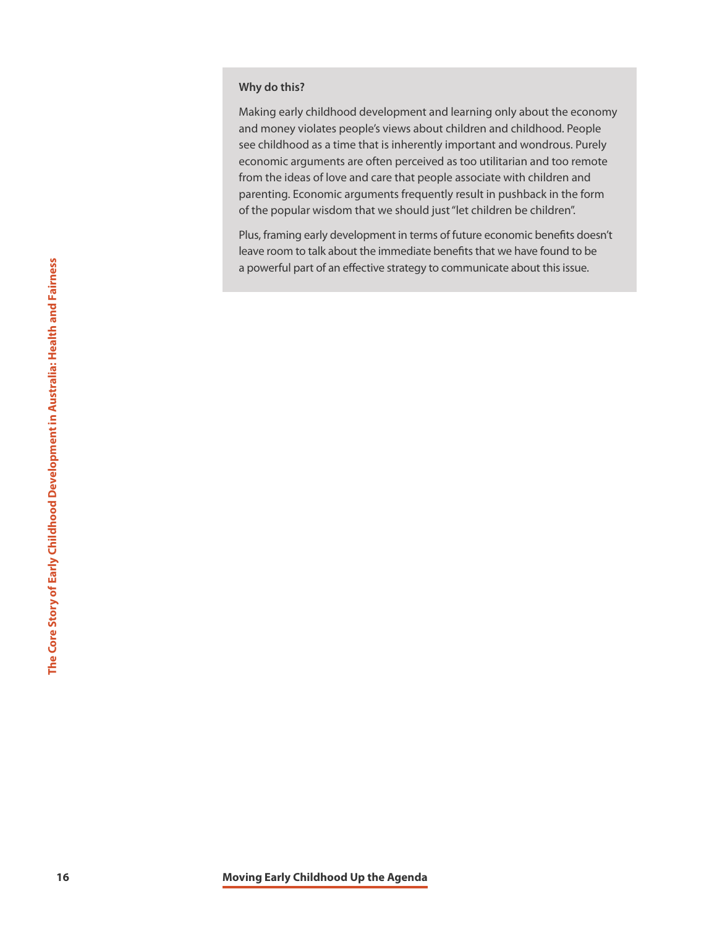### **Why do this?**

Making early childhood development and learning only about the economy and money violates people's views about children and childhood. People see childhood as a time that is inherently important and wondrous. Purely economic arguments are often perceived as too utilitarian and too remote from the ideas of love and care that people associate with children and parenting. Economic arguments frequently result in pushback in the form of the popular wisdom that we should just "let children be children".

Plus, framing early development in terms of future economic benefits doesn't leave room to talk about the immediate benefits that we have found to be a powerful part of an effective strategy to communicate about this issue.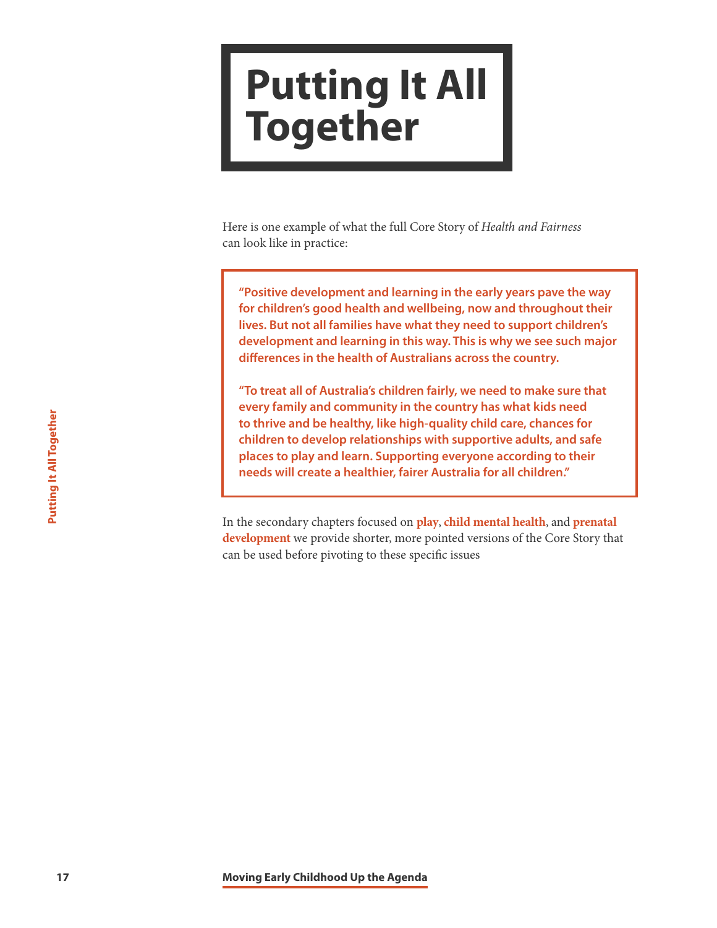# <span id="page-17-0"></span>**Putting It All Together**

Here is one example of what the full Core Story of *Health and Fairness* can look like in practice:

**"Positive development and learning in the early years pave the way for children's good health and wellbeing, now and throughout their lives. But not all families have what they need to support children's development and learning in this way. This is why we see such major differences in the health of Australians across the country.**

**17** Moving Early Childhood Up the Agenda<br> **17** Moving Early Children to develop relationships places to play and learn. Supporting<br> **17** In the secondary chapters focused on place<br> **17** In the secondary chapters focused o **"To treat all of Australia's children fairly, we need to make sure that every family and community in the country has what kids need to thrive and be healthy, like high-quality child care, chances for children to develop relationships with supportive adults, and safe places to play and learn. Supporting everyone according to their needs will create a healthier, fairer Australia for all children."**

In the secondary chapters focused on **[play](http://frameworksinstitute.org/assets/files/Australia/colab_playbrief_2020.pdf)**, **[child mental health](http://frameworksinstitute.org/assets/files/Australia/colab_cmhbrief_2020.pdf)**, and **[prenatal](http://frameworksinstitute.org/assets/files/Australia/colab_prenatalbrief_2020.pdf)  [development](http://frameworksinstitute.org/assets/files/Australia/colab_prenatalbrief_2020.pdf)** we provide shorter, more pointed versions of the Core Story that can be used before pivoting to these specific issues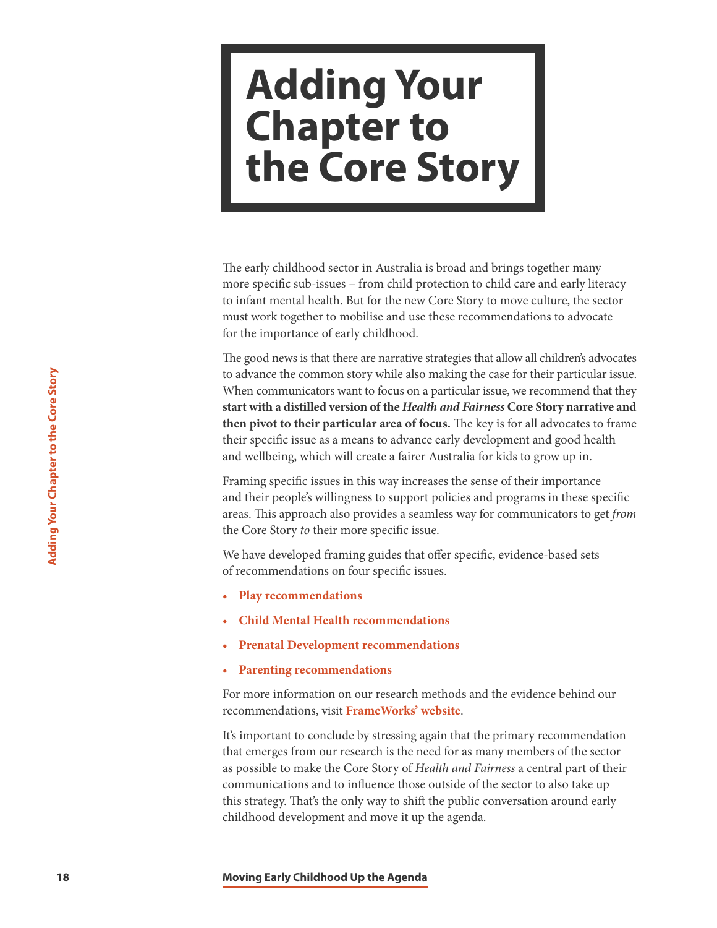# <span id="page-18-0"></span>**Adding Your Chapter to the Core Story**

The early childhood sector in Australia is broad and brings together many more specific sub-issues – from child protection to child care and early literacy to infant mental health. But for the new Core Story to move culture, the sector must work together to mobilise and use these recommendations to advocate for the importance of early childhood.

**18 18 Examplementations want to focus on a story** while also When communicators want to focus on a strained then pivot to their particular area of for their specific issues as means to advance and wellbeing, which wil The good news is that there are narrative strategies that allow all children's advocates to advance the common story while also making the case for their particular issue. When communicators want to focus on a particular issue, we recommend that they **start with a distilled version of the** *Health and Fairness* **Core Story narrative and then pivot to their particular area of focus.** The key is for all advocates to frame their specific issue as a means to advance early development and good health and wellbeing, which will create a fairer Australia for kids to grow up in.

Framing specific issues in this way increases the sense of their importance and their people's willingness to support policies and programs in these specific areas. This approach also provides a seamless way for communicators to get *from*  the Core Story *to* their more specific issue.

We have developed framing guides that offer specific, evidence-based sets of recommendations on four specific issues.

- **[Play recommendations](http://frameworksinstitute.org/assets/files/Australia/colab_playbrief_2020.pdf)**
- **[Child Mental Health recommendations](http://frameworksinstitute.org/assets/files/Australia/colab_cmhbrief_2020.pdf)**
- **[Prenatal Development recommendations](http://frameworksinstitute.org/assets/files/Australia/colab_prenatalbrief_2020.pdf)**
- **[Parenting recommendations](www.frameworksinstitute.org/assets/files/Australia/prc_message_memo_2018.pdf)**

For more information on our research methods and the evidence behind our recommendations, visit **[FrameWorks' website](http://www.frameworksinstitute.org/assets/files/Australia/
colab_methods_2020.pdf)**.

It's important to conclude by stressing again that the primary recommendation that emerges from our research is the need for as many members of the sector as possible to make the Core Story of *Health and Fairness* a central part of their communications and to influence those outside of the sector to also take up this strategy. That's the only way to shift the public conversation around early childhood development and move it up the agenda.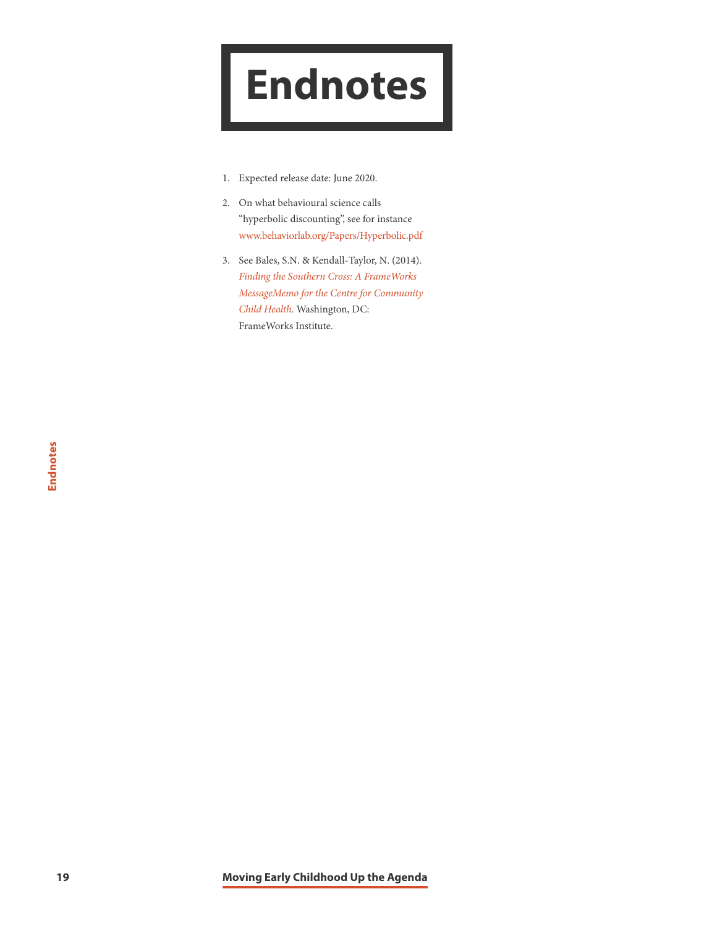# <span id="page-19-0"></span>**Endnotes**

- 1. Expected release date: June 2020.
- 2. On what behavioural science calls "hyperbolic discounting", see for instance [www.behaviorlab.org/Papers/Hyperbolic.pdf](http://www.behaviorlab.org/Papers/Hyperbolic.pdf)
- 3. See Bales, S.N. & Kendall-Taylor, N. (2014). *[Finding the Southern Cross: A FrameWorks](http://frameworksinstitute.org/pubs/mm/southerncross/toc.html)  [MessageMemo for the Centre for Community](http://frameworksinstitute.org/pubs/mm/southerncross/toc.html) [Child Health](http://frameworksinstitute.org/pubs/mm/southerncross/toc.html)*. Washington, DC: FrameWorks Institute.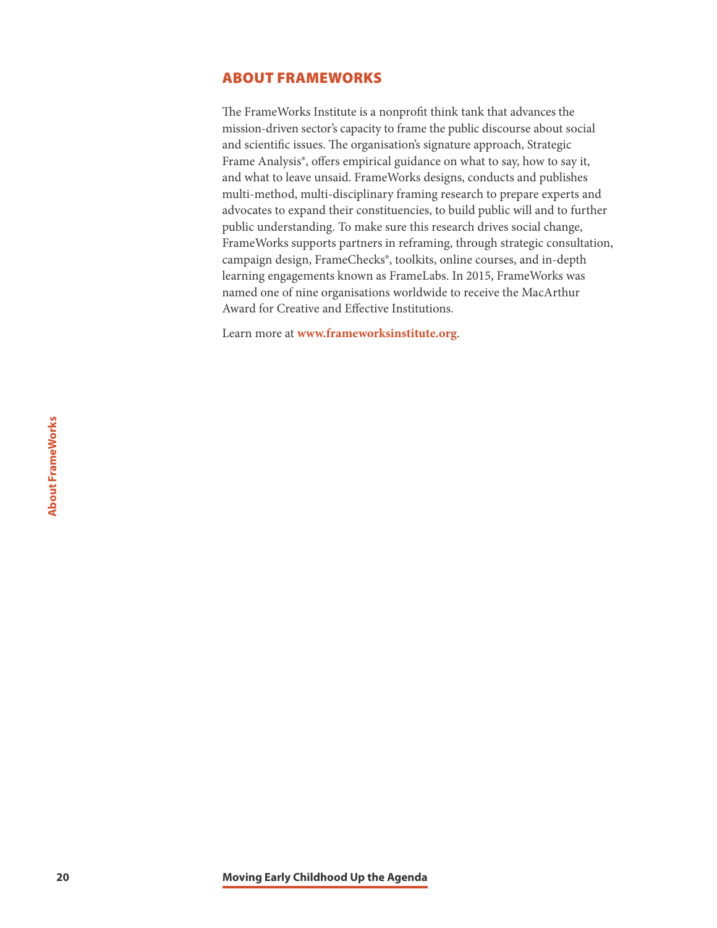# <span id="page-20-0"></span>ABOUT FRAMEWORKS

The FrameWorks Institute is a nonprofit think tank that advances the mission-driven sector's capacity to frame the public discourse about social and scientific issues. The organisation's signature approach, Strategic Frame Analysis®, offers empirical guidance on what to say, how to say it, and what to leave unsaid. FrameWorks designs, conducts and publishes multi-method, multi-disciplinary framing research to prepare experts and advocates to expand their constituencies, to build public will and to further public understanding. To make sure this research drives social change, FrameWorks supports partners in reframing, through strategic consultation, campaign design, FrameChecks®, toolkits, online courses, and in-depth learning engagements known as FrameLabs. In 2015, FrameWorks was named one of nine organisations worldwide to receive the MacArthur Award for Creative and Effective Institutions.

Learn more at **<www.frameworksinstitute.org>**.